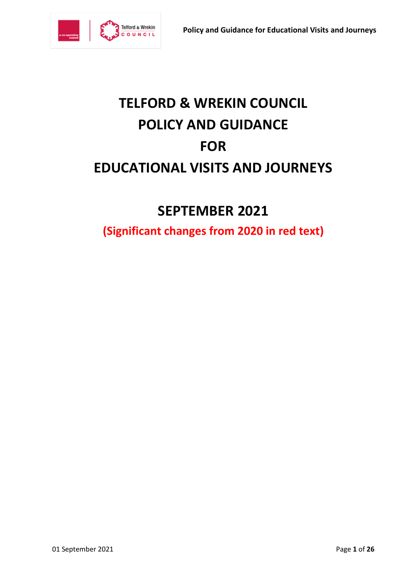

# **TELFORD & WREKIN COUNCIL POLICY AND GUIDANCE FOR EDUCATIONAL VISITS AND JOURNEYS**

# **SEPTEMBER 2021**

**(Significant changes from 2020 in red text)**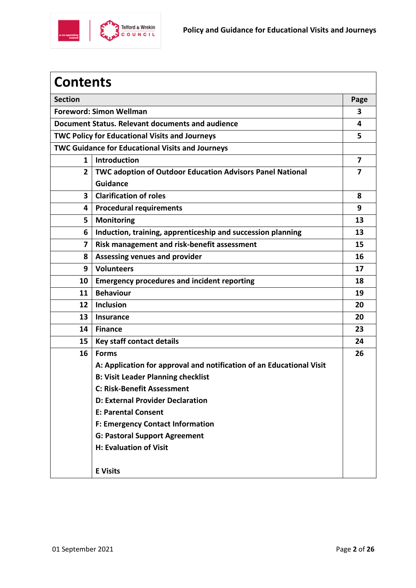

| <b>Contents</b>                                         |                                                                      |                |  |  |
|---------------------------------------------------------|----------------------------------------------------------------------|----------------|--|--|
| <b>Section</b>                                          |                                                                      |                |  |  |
| <b>Foreword: Simon Wellman</b>                          |                                                                      |                |  |  |
| Document Status. Relevant documents and audience        |                                                                      |                |  |  |
| <b>TWC Policy for Educational Visits and Journeys</b>   |                                                                      |                |  |  |
| <b>TWC Guidance for Educational Visits and Journeys</b> |                                                                      |                |  |  |
| $\mathbf{1}$                                            | <b>Introduction</b>                                                  | $\overline{7}$ |  |  |
| $\overline{2}$                                          | TWC adoption of Outdoor Education Advisors Panel National            | 7              |  |  |
|                                                         | <b>Guidance</b>                                                      |                |  |  |
| $\mathbf{3}$                                            | <b>Clarification of roles</b>                                        | 8              |  |  |
| 4                                                       | <b>Procedural requirements</b>                                       | 9              |  |  |
| 5                                                       | <b>Monitoring</b>                                                    | 13             |  |  |
| 6                                                       | Induction, training, apprenticeship and succession planning          | 13             |  |  |
| $\overline{\mathbf{z}}$                                 | Risk management and risk-benefit assessment                          | 15             |  |  |
| 8                                                       | <b>Assessing venues and provider</b>                                 | 16             |  |  |
| 9                                                       | <b>Volunteers</b>                                                    | 17             |  |  |
| 10                                                      | <b>Emergency procedures and incident reporting</b>                   | 18             |  |  |
| 11                                                      | <b>Behaviour</b>                                                     | 19             |  |  |
| 12                                                      | <b>Inclusion</b>                                                     | 20             |  |  |
| 13                                                      | <b>Insurance</b>                                                     | 20             |  |  |
| 14                                                      | <b>Finance</b>                                                       | 23             |  |  |
| 15                                                      | Key staff contact details                                            | 24             |  |  |
| 16                                                      | <b>Forms</b>                                                         | 26             |  |  |
|                                                         | A: Application for approval and notification of an Educational Visit |                |  |  |
|                                                         | <b>B: Visit Leader Planning checklist</b>                            |                |  |  |
|                                                         | C: Risk-Benefit Assessment                                           |                |  |  |
|                                                         | <b>D: External Provider Declaration</b>                              |                |  |  |
|                                                         | <b>E: Parental Consent</b>                                           |                |  |  |
|                                                         | <b>F: Emergency Contact Information</b>                              |                |  |  |
|                                                         | <b>G: Pastoral Support Agreement</b>                                 |                |  |  |
|                                                         | H: Evaluation of Visit                                               |                |  |  |
|                                                         | <b>E</b> Visits                                                      |                |  |  |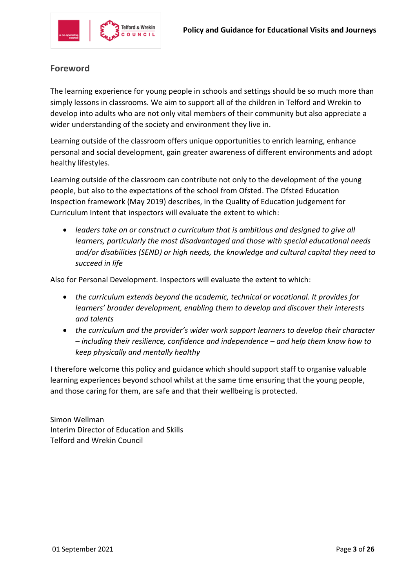

# **Foreword**

The learning experience for young people in schools and settings should be so much more than simply lessons in classrooms. We aim to support all of the children in Telford and Wrekin to develop into adults who are not only vital members of their community but also appreciate a wider understanding of the society and environment they live in.

Learning outside of the classroom offers unique opportunities to enrich learning, enhance personal and social development, gain greater awareness of different environments and adopt healthy lifestyles.

Learning outside of the classroom can contribute not only to the development of the young people, but also to the expectations of the school from Ofsted. The Ofsted Education Inspection framework (May 2019) describes, in the Quality of Education judgement for Curriculum Intent that inspectors will evaluate the extent to which:

 *leaders take on or construct a curriculum that is ambitious and designed to give all learners, particularly the most disadvantaged and those with special educational needs and/or disabilities (SEND) or high needs, the knowledge and cultural capital they need to succeed in life* 

Also for Personal Development. Inspectors will evaluate the extent to which:

- *the curriculum extends beyond the academic, technical or vocational. It provides for learners' broader development, enabling them to develop and discover their interests and talents*
- *the curriculum and the provider's wider work support learners to develop their character – including their resilience, confidence and independence – and help them know how to keep physically and mentally healthy*

I therefore welcome this policy and guidance which should support staff to organise valuable learning experiences beyond school whilst at the same time ensuring that the young people, and those caring for them, are safe and that their wellbeing is protected.

Simon Wellman Interim Director of Education and Skills Telford and Wrekin Council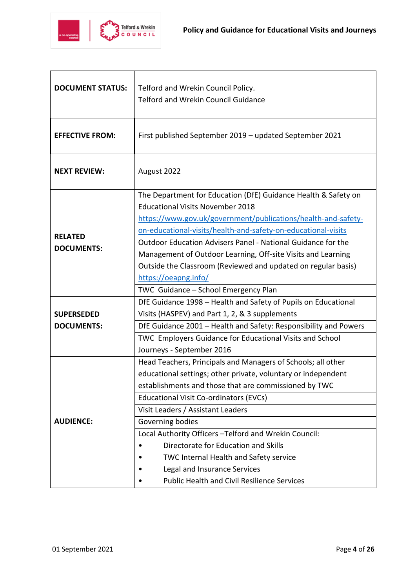

| <b>DOCUMENT STATUS:</b> | Telford and Wrekin Council Policy.<br><b>Telford and Wrekin Council Guidance</b>                          |  |  |
|-------------------------|-----------------------------------------------------------------------------------------------------------|--|--|
| <b>EFFECTIVE FROM:</b>  | First published September 2019 - updated September 2021                                                   |  |  |
| <b>NEXT REVIEW:</b>     | August 2022                                                                                               |  |  |
|                         | The Department for Education (DfE) Guidance Health & Safety on<br><b>Educational Visits November 2018</b> |  |  |
|                         | https://www.gov.uk/government/publications/health-and-safety-                                             |  |  |
|                         | on-educational-visits/health-and-safety-on-educational-visits                                             |  |  |
| <b>RELATED</b>          | Outdoor Education Advisers Panel - National Guidance for the                                              |  |  |
| <b>DOCUMENTS:</b>       | Management of Outdoor Learning, Off-site Visits and Learning                                              |  |  |
|                         | Outside the Classroom (Reviewed and updated on regular basis)                                             |  |  |
|                         | https://oeapng.info/                                                                                      |  |  |
|                         | TWC Guidance - School Emergency Plan                                                                      |  |  |
|                         | DfE Guidance 1998 - Health and Safety of Pupils on Educational                                            |  |  |
| <b>SUPERSEDED</b>       | Visits (HASPEV) and Part 1, 2, & 3 supplements                                                            |  |  |
| <b>DOCUMENTS:</b>       | DfE Guidance 2001 - Health and Safety: Responsibility and Powers                                          |  |  |
|                         | TWC Employers Guidance for Educational Visits and School                                                  |  |  |
|                         | Journeys - September 2016                                                                                 |  |  |
|                         | Head Teachers, Principals and Managers of Schools; all other                                              |  |  |
|                         | educational settings; other private, voluntary or independent                                             |  |  |
|                         | establishments and those that are commissioned by TWC                                                     |  |  |
|                         | Educational Visit Co-ordinators (EVCs)                                                                    |  |  |
|                         | Visit Leaders / Assistant Leaders                                                                         |  |  |
| <b>AUDIENCE:</b>        | Governing bodies                                                                                          |  |  |
|                         | Local Authority Officers - Telford and Wrekin Council:                                                    |  |  |
|                         | Directorate for Education and Skills                                                                      |  |  |
|                         | TWC Internal Health and Safety service                                                                    |  |  |
|                         | Legal and Insurance Services                                                                              |  |  |
|                         | <b>Public Health and Civil Resilience Services</b>                                                        |  |  |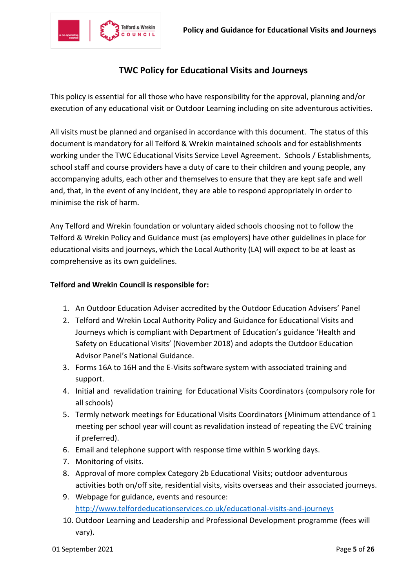

# **TWC Policy for Educational Visits and Journeys**

This policy is essential for all those who have responsibility for the approval, planning and/or execution of any educational visit or Outdoor Learning including on site adventurous activities.

All visits must be planned and organised in accordance with this document. The status of this document is mandatory for all Telford & Wrekin maintained schools and for establishments working under the TWC Educational Visits Service Level Agreement. Schools / Establishments, school staff and course providers have a duty of care to their children and young people, any accompanying adults, each other and themselves to ensure that they are kept safe and well and, that, in the event of any incident, they are able to respond appropriately in order to minimise the risk of harm.

Any Telford and Wrekin foundation or voluntary aided schools choosing not to follow the Telford & Wrekin Policy and Guidance must (as employers) have other guidelines in place for educational visits and journeys, which the Local Authority (LA) will expect to be at least as comprehensive as its own guidelines.

#### **Telford and Wrekin Council is responsible for:**

- 1. An Outdoor Education Adviser accredited by the Outdoor Education Advisers' Panel
- 2. Telford and Wrekin Local Authority Policy and Guidance for Educational Visits and Journeys which is compliant with Department of Education's guidance 'Health and Safety on Educational Visits' (November 2018) and adopts the Outdoor Education Advisor Panel's National Guidance.
- 3. Forms 16A to 16H and the E-Visits software system with associated training and support.
- 4. Initial and revalidation training for Educational Visits Coordinators (compulsory role for all schools)
- 5. Termly network meetings for Educational Visits Coordinators (Minimum attendance of 1 meeting per school year will count as revalidation instead of repeating the EVC training if preferred).
- 6. Email and telephone support with response time within 5 working days.
- 7. Monitoring of visits.
- 8. Approval of more complex Category 2b Educational Visits; outdoor adventurous activities both on/off site, residential visits, visits overseas and their associated journeys.
- 9. Webpage for guidance, events and resource: <http://www.telfordeducationservices.co.uk/educational-visits-and-journeys>
- 10. Outdoor Learning and Leadership and Professional Development programme (fees will vary).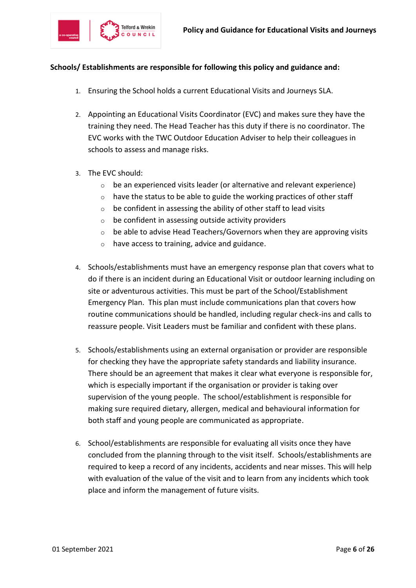

#### **Schools/ Establishments are responsible for following this policy and guidance and:**

- 1. Ensuring the School holds a current Educational Visits and Journeys SLA.
- 2. Appointing an Educational Visits Coordinator (EVC) and makes sure they have the training they need. The Head Teacher has this duty if there is no coordinator. The EVC works with the TWC Outdoor Education Adviser to help their colleagues in schools to assess and manage risks.
- 3. The EVC should:
	- $\circ$  be an experienced visits leader (or alternative and relevant experience)
	- $\circ$  have the status to be able to guide the working practices of other staff
	- $\circ$  be confident in assessing the ability of other staff to lead visits
	- $\circ$  be confident in assessing outside activity providers
	- $\circ$  be able to advise Head Teachers/Governors when they are approving visits
	- o have access to training, advice and guidance.
- 4. Schools/establishments must have an emergency response plan that covers what to do if there is an incident during an Educational Visit or outdoor learning including on site or adventurous activities. This must be part of the School/Establishment Emergency Plan. This plan must include communications plan that covers how routine communications should be handled, including regular check-ins and calls to reassure people. Visit Leaders must be familiar and confident with these plans.
- 5. Schools/establishments using an external organisation or provider are responsible for checking they have the appropriate safety standards and liability insurance. There should be an agreement that makes it clear what everyone is responsible for, which is especially important if the organisation or provider is taking over supervision of the young people. The school/establishment is responsible for making sure required dietary, allergen, medical and behavioural information for both staff and young people are communicated as appropriate.
- 6. School/establishments are responsible for evaluating all visits once they have concluded from the planning through to the visit itself. Schools/establishments are required to keep a record of any incidents, accidents and near misses. This will help with evaluation of the value of the visit and to learn from any incidents which took place and inform the management of future visits.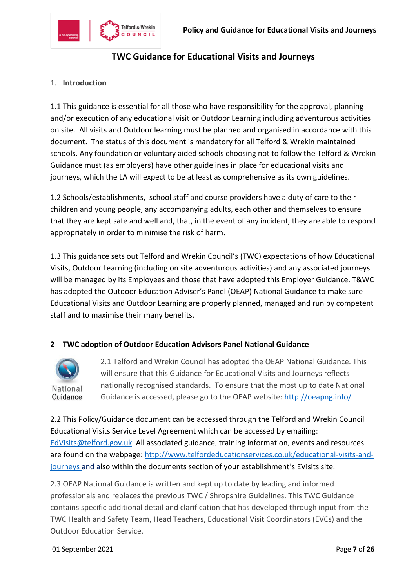

# **TWC Guidance for Educational Visits and Journeys**

#### 1. **Introduction**

1.1 This guidance is essential for all those who have responsibility for the approval, planning and/or execution of any educational visit or Outdoor Learning including adventurous activities on site. All visits and Outdoor learning must be planned and organised in accordance with this document. The status of this document is mandatory for all Telford & Wrekin maintained schools. Any foundation or voluntary aided schools choosing not to follow the Telford & Wrekin Guidance must (as employers) have other guidelines in place for educational visits and journeys, which the LA will expect to be at least as comprehensive as its own guidelines.

1.2 Schools/establishments, school staff and course providers have a duty of care to their children and young people, any accompanying adults, each other and themselves to ensure that they are kept safe and well and, that, in the event of any incident, they are able to respond appropriately in order to minimise the risk of harm.

1.3 This guidance sets out Telford and Wrekin Council's (TWC) expectations of how Educational Visits, Outdoor Learning (including on site adventurous activities) and any associated journeys will be managed by its Employees and those that have adopted this Employer Guidance. T&WC has adopted the Outdoor Education Adviser's Panel (OEAP) National Guidance to make sure Educational Visits and Outdoor Learning are properly planned, managed and run by competent staff and to maximise their many benefits.

#### **2 TWC adoption of Outdoor Education Advisors Panel National Guidance**



2.1 Telford and Wrekin Council has adopted the OEAP National Guidance. This will ensure that this Guidance for Educational Visits and Journeys reflects nationally recognised standards. To ensure that the most up to date National Guidance is accessed, please go to the OEAP website: <http://oeapng.info/>

2.2 This Policy/Guidance document can be accessed through the Telford and Wrekin Council Educational Visits Service Level Agreement which can be accessed by emailing: [EdVisits@telford.gov.uk](mailto:EdVisits@telford.gov.uk) All associated guidance, training information, events and resources are found on the webpage: [http://www.telfordeducationservices.co.uk/educational-visits-and](http://www.telfordeducationservices.co.uk/educational-visits-and-journeys)[journeys](http://www.telfordeducationservices.co.uk/educational-visits-and-journeys) and also within the documents section of your establishment's EVisits site.

2.3 OEAP National Guidance is written and kept up to date by leading and informed professionals and replaces the previous TWC / Shropshire Guidelines. This TWC Guidance contains specific additional detail and clarification that has developed through input from the TWC Health and Safety Team, Head Teachers, Educational Visit Coordinators (EVCs) and the Outdoor Education Service.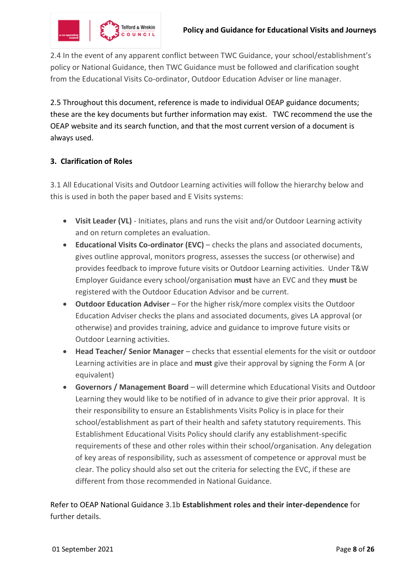

2.4 In the event of any apparent conflict between TWC Guidance, your school/establishment's policy or National Guidance, then TWC Guidance must be followed and clarification sought from the Educational Visits Co-ordinator, Outdoor Education Adviser or line manager.

2.5 Throughout this document, reference is made to individual OEAP guidance documents; these are the key documents but further information may exist. TWC recommend the use the OEAP website and its search function, and that the most current version of a document is always used.

# **3. Clarification of Roles**

3.1 All Educational Visits and Outdoor Learning activities will follow the hierarchy below and this is used in both the paper based and E Visits systems:

- **Visit Leader (VL)** Initiates, plans and runs the visit and/or Outdoor Learning activity and on return completes an evaluation.
- **Educational Visits Co-ordinator (EVC)** checks the plans and associated documents, gives outline approval, monitors progress, assesses the success (or otherwise) and provides feedback to improve future visits or Outdoor Learning activities. Under T&W Employer Guidance every school/organisation **must** have an EVC and they **must** be registered with the Outdoor Education Advisor and be current.
- **Outdoor Education Adviser** For the higher risk/more complex visits the Outdoor Education Adviser checks the plans and associated documents, gives LA approval (or otherwise) and provides training, advice and guidance to improve future visits or Outdoor Learning activities.
- **Head Teacher/ Senior Manager** checks that essential elements for the visit or outdoor Learning activities are in place and **must** give their approval by signing the Form A (or equivalent)
- **Governors / Management Board** will determine which Educational Visits and Outdoor Learning they would like to be notified of in advance to give their prior approval. It is their responsibility to ensure an Establishments Visits Policy is in place for their school/establishment as part of their health and safety statutory requirements. This Establishment Educational Visits Policy should clarify any establishment-specific requirements of these and other roles within their school/organisation. Any delegation of key areas of responsibility, such as assessment of competence or approval must be clear. The policy should also set out the criteria for selecting the EVC, if these are different from those recommended in National Guidance.

Refer to OEAP National Guidance 3.1b **Establishment roles and their inter-dependence** for further details.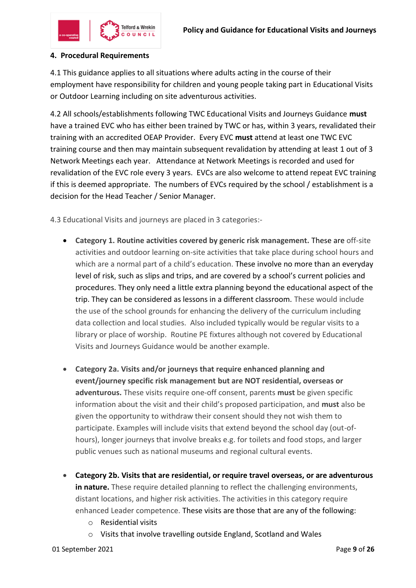

#### **4. Procedural Requirements**

4.1 This guidance applies to all situations where adults acting in the course of their employment have responsibility for children and young people taking part in Educational Visits or Outdoor Learning including on site adventurous activities.

4.2 All schools/establishments following TWC Educational Visits and Journeys Guidance **must** have a trained EVC who has either been trained by TWC or has, within 3 years, revalidated their training with an accredited OEAP Provider. Every EVC **must** attend at least one TWC EVC training course and then may maintain subsequent revalidation by attending at least 1 out of 3 Network Meetings each year. Attendance at Network Meetings is recorded and used for revalidation of the EVC role every 3 years. EVCs are also welcome to attend repeat EVC training if this is deemed appropriate. The numbers of EVCs required by the school / establishment is a decision for the Head Teacher / Senior Manager.

4.3 Educational Visits and journeys are placed in 3 categories:-

- **Category 1. Routine activities covered by generic risk management.** These are off-site activities and outdoor learning on-site activities that take place during school hours and which are a normal part of a child's education. These involve no more than an everyday level of risk, such as slips and trips, and are covered by a school's current policies and procedures. They only need a little extra planning beyond the educational aspect of the trip. They can be considered as lessons in a different classroom. These would include the use of the school grounds for enhancing the delivery of the curriculum including data collection and local studies. Also included typically would be regular visits to a library or place of worship. Routine PE fixtures although not covered by Educational Visits and Journeys Guidance would be another example.
- **Category 2a. Visits and/or journeys that require enhanced planning and event/journey specific risk management but are NOT residential, overseas or adventurous.** These visits require one-off consent, parents **must** be given specific information about the visit and their child's proposed participation, and **must** also be given the opportunity to withdraw their consent should they not wish them to participate. Examples will include visits that extend beyond the school day (out-ofhours), longer journeys that involve breaks e.g. for toilets and food stops, and larger public venues such as national museums and regional cultural events.
- **Category 2b. Visits that are residential, or require travel overseas, or are adventurous in nature.** These require detailed planning to reflect the challenging environments, distant locations, and higher risk activities. The activities in this category require enhanced Leader competence. These visits are those that are any of the following:
	- o Residential visits
	- o Visits that involve travelling outside England, Scotland and Wales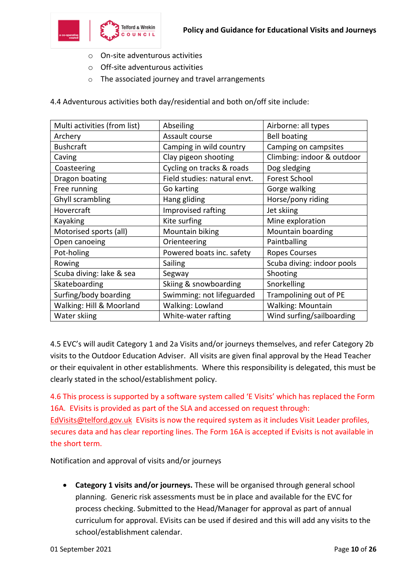

- o On-site adventurous activities
- o Off-site adventurous activities
- o The associated journey and travel arrangements

| 4.4 Adventurous activities both day/residential and both on/off site include: |  |
|-------------------------------------------------------------------------------|--|
|-------------------------------------------------------------------------------|--|

| Multi activities (from list) | Abseiling                    | Airborne: all types        |
|------------------------------|------------------------------|----------------------------|
| Archery                      | Assault course               | <b>Bell boating</b>        |
| <b>Bushcraft</b>             | Camping in wild country      | Camping on campsites       |
| Caving                       | Clay pigeon shooting         | Climbing: indoor & outdoor |
| Coasteering                  | Cycling on tracks & roads    | Dog sledging               |
| Dragon boating               | Field studies: natural envt. | <b>Forest School</b>       |
| Free running                 | Go karting                   | Gorge walking              |
| Ghyll scrambling             | Hang gliding                 | Horse/pony riding          |
| Hovercraft                   | Improvised rafting           | Jet skiing                 |
| Kayaking                     | Kite surfing                 | Mine exploration           |
| Motorised sports (all)       | Mountain biking              | Mountain boarding          |
| Open canoeing                | Orienteering                 | Paintballing               |
| Pot-holing                   | Powered boats inc. safety    | <b>Ropes Courses</b>       |
| Rowing                       | Sailing                      | Scuba diving: indoor pools |
| Scuba diving: lake & sea     | Segway                       | Shooting                   |
| Skateboarding                | Skiing & snowboarding        | Snorkelling                |
| Surfing/body boarding        | Swimming: not lifeguarded    | Trampolining out of PE     |
| Walking: Hill & Moorland     | Walking: Lowland             | <b>Walking: Mountain</b>   |
| Water skiing                 | White-water rafting          | Wind surfing/sailboarding  |

4.5 EVC's will audit Category 1 and 2a Visits and/or journeys themselves, and refer Category 2b visits to the Outdoor Education Adviser. All visits are given final approval by the Head Teacher or their equivalent in other establishments. Where this responsibility is delegated, this must be clearly stated in the school/establishment policy.

4.6 This process is supported by a software system called 'E Visits' which has replaced the Form 16A. EVisits is provided as part of the SLA and accessed on request through: [EdVisits@telford.gov.uk](mailto:EdVisits@telford.gov.uk) EVisits is now the required system as it includes Visit Leader profiles, secures data and has clear reporting lines. The Form 16A is accepted if Evisits is not available in the short term.

Notification and approval of visits and/or journeys

 **Category 1 visits and/or journeys.** These will be organised through general school planning. Generic risk assessments must be in place and available for the EVC for process checking. Submitted to the Head/Manager for approval as part of annual curriculum for approval. EVisits can be used if desired and this will add any visits to the school/establishment calendar.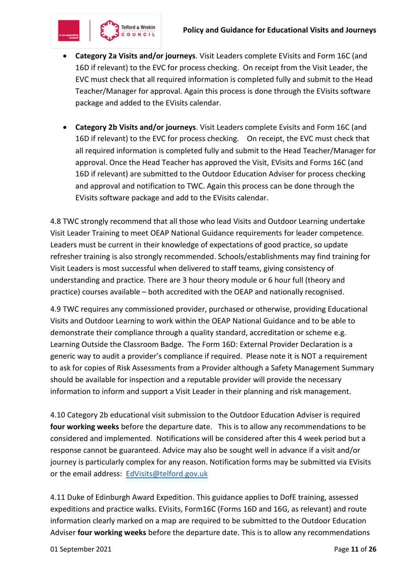

- **Category 2a Visits and/or journeys**. Visit Leaders complete EVisits and Form 16C (and 16D if relevant) to the EVC for process checking. On receipt from the Visit Leader, the EVC must check that all required information is completed fully and submit to the Head Teacher/Manager for approval. Again this process is done through the EVisits software package and added to the EVisits calendar.
- **Category 2b Visits and/or journeys**. Visit Leaders complete Evisits and Form 16C (and 16D if relevant) to the EVC for process checking. On receipt, the EVC must check that all required information is completed fully and submit to the Head Teacher/Manager for approval. Once the Head Teacher has approved the Visit, EVisits and Forms 16C (and 16D if relevant) are submitted to the Outdoor Education Adviser for process checking and approval and notification to TWC. Again this process can be done through the EVisits software package and add to the EVisits calendar.

4.8 TWC strongly recommend that all those who lead Visits and Outdoor Learning undertake Visit Leader Training to meet OEAP National Guidance requirements for leader competence. Leaders must be current in their knowledge of expectations of good practice, so update refresher training is also strongly recommended. Schools/establishments may find training for Visit Leaders is most successful when delivered to staff teams, giving consistency of understanding and practice. There are 3 hour theory module or 6 hour full (theory and practice) courses available – both accredited with the OEAP and nationally recognised.

4.9 TWC requires any commissioned provider, purchased or otherwise, providing Educational Visits and Outdoor Learning to work within the OEAP National Guidance and to be able to demonstrate their compliance through a quality standard, accreditation or scheme e.g. Learning Outside the Classroom Badge. The Form 16D: External Provider Declaration is a generic way to audit a provider's compliance if required. Please note it is NOT a requirement to ask for copies of Risk Assessments from a Provider although a Safety Management Summary should be available for inspection and a reputable provider will provide the necessary information to inform and support a Visit Leader in their planning and risk management.

4.10 Category 2b educational visit submission to the Outdoor Education Adviser is required **four working weeks** before the departure date. This is to allow any recommendations to be considered and implemented.Notifications will be considered after this 4 week period but a response cannot be guaranteed. Advice may also be sought well in advance if a visit and/or journey is particularly complex for any reason. Notification forms may be submitted via EVisits or the email address: [EdVisits@telford.gov.uk](mailto:EdVisits@telford.gov.uk)

4.11 Duke of Edinburgh Award Expedition. This guidance applies to DofE training, assessed expeditions and practice walks. EVisits, Form16C (Forms 16D and 16G, as relevant) and route information clearly marked on a map are required to be submitted to the Outdoor Education Adviser **four working weeks** before the departure date. This is to allow any recommendations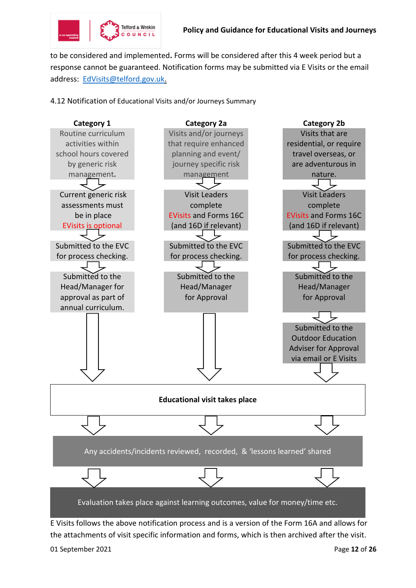

to be considered and implemented**.** Forms will be considered after this 4 week period but a response cannot be guaranteed. Notification forms may be submitted via E Visits or the email address: [EdVisits@telford.gov.uk.](mailto:EdVisits@telford.gov.uk)

4.12 Notification of Educational Visits and/or Journeys Summary



E Visits follows the above notification process and is a version of the Form 16A and allows for the attachments of visit specific information and forms, which is then archived after the visit.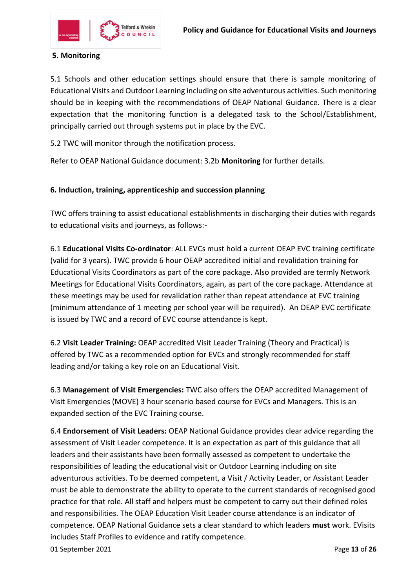

# **5. Monitoring**

5.1 Schools and other education settings should ensure that there is sample monitoring of Educational Visits and Outdoor Learning including on site adventurous activities. Such monitoring should be in keeping with the recommendations of OEAP National Guidance. There is a clear expectation that the monitoring function is a delegated task to the School/Establishment, principally carried out through systems put in place by the EVC.

5.2 TWC will monitor through the notification process.

Refer to OEAP National Guidance document: 3.2b **Monitoring** for further details.

#### **6. Induction, training, apprenticeship and succession planning**

TWC offers training to assist educational establishments in discharging their duties with regards to educational visits and journeys, as follows:-

6.1 **Educational Visits Co-ordinator**: ALL EVCs must hold a current OEAP EVC training certificate (valid for 3 years). TWC provide 6 hour OEAP accredited initial and revalidation training for Educational Visits Coordinators as part of the core package. Also provided are termly Network Meetings for Educational Visits Coordinators, again, as part of the core package. Attendance at these meetings may be used for revalidation rather than repeat attendance at EVC training (minimum attendance of 1 meeting per school year will be required). An OEAP EVC certificate is issued by TWC and a record of EVC course attendance is kept.

6.2 **Visit Leader Training:** OEAP accredited Visit Leader Training (Theory and Practical) is offered by TWC as a recommended option for EVCs and strongly recommended for staff leading and/or taking a key role on an Educational Visit.

6.3 **Management of Visit Emergencies:** TWC also offers the OEAP accredited Management of Visit Emergencies (MOVE) 3 hour scenario based course for EVCs and Managers. This is an expanded section of the EVC Training course.

6.4 **Endorsement of Visit Leaders:** OEAP National Guidance provides clear advice regarding the assessment of Visit Leader competence. It is an expectation as part of this guidance that all leaders and their assistants have been formally assessed as competent to undertake the responsibilities of leading the educational visit or Outdoor Learning including on site adventurous activities. To be deemed competent, a Visit / Activity Leader, or Assistant Leader must be able to demonstrate the ability to operate to the current standards of recognised good practice for that role. All staff and helpers must be competent to carry out their defined roles and responsibilities. The OEAP Education Visit Leader course attendance is an indicator of competence. OEAP National Guidance sets a clear standard to which leaders **must** work. EVisits includes Staff Profiles to evidence and ratify competence.

01 September 2021 Page **13** of **26**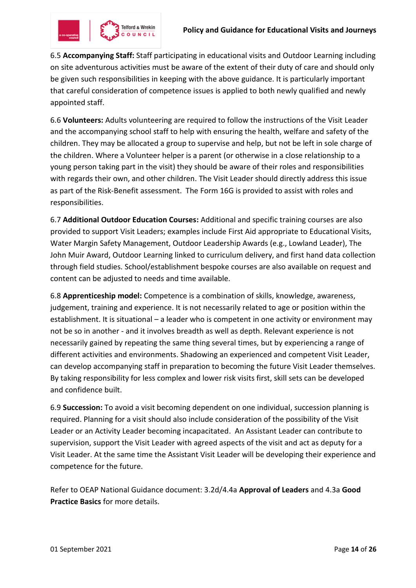

6.5 **Accompanying Staff:** Staff participating in educational visits and Outdoor Learning including on site adventurous activities must be aware of the extent of their duty of care and should only be given such responsibilities in keeping with the above guidance. It is particularly important that careful consideration of competence issues is applied to both newly qualified and newly appointed staff.

6.6 **Volunteers:** Adults volunteering are required to follow the instructions of the Visit Leader and the accompanying school staff to help with ensuring the health, welfare and safety of the children. They may be allocated a group to supervise and help, but not be left in sole charge of the children. Where a Volunteer helper is a parent (or otherwise in a close relationship to a young person taking part in the visit) they should be aware of their roles and responsibilities with regards their own, and other children. The Visit Leader should directly address this issue as part of the Risk-Benefit assessment. The Form 16G is provided to assist with roles and responsibilities.

6.7 **Additional Outdoor Education Courses:** Additional and specific training courses are also provided to support Visit Leaders; examples include First Aid appropriate to Educational Visits, Water Margin Safety Management, Outdoor Leadership Awards (e.g., Lowland Leader), The John Muir Award, Outdoor Learning linked to curriculum delivery, and first hand data collection through field studies. School/establishment bespoke courses are also available on request and content can be adjusted to needs and time available.

6.8 **Apprenticeship model:** Competence is a combination of skills, knowledge, awareness, judgement, training and experience. It is not necessarily related to age or position within the establishment. It is situational – a leader who is competent in one activity or environment may not be so in another - and it involves breadth as well as depth. Relevant experience is not necessarily gained by repeating the same thing several times, but by experiencing a range of different activities and environments. Shadowing an experienced and competent Visit Leader, can develop accompanying staff in preparation to becoming the future Visit Leader themselves. By taking responsibility for less complex and lower risk visits first, skill sets can be developed and confidence built.

6.9 **Succession:** To avoid a visit becoming dependent on one individual, succession planning is required. Planning for a visit should also include consideration of the possibility of the Visit Leader or an Activity Leader becoming incapacitated. An Assistant Leader can contribute to supervision, support the Visit Leader with agreed aspects of the visit and act as deputy for a Visit Leader. At the same time the Assistant Visit Leader will be developing their experience and competence for the future.

Refer to OEAP National Guidance document: 3.2d/4.4a **Approval of Leaders** and 4.3a **Good Practice Basics** for more details.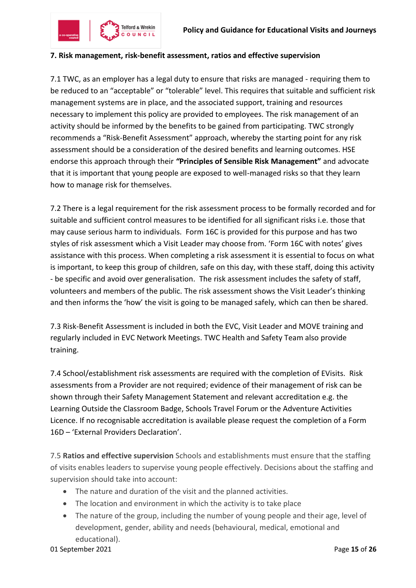

#### **7. Risk management, risk-benefit assessment, ratios and effective supervision**

7.1 TWC, as an employer has a legal duty to ensure that risks are managed - requiring them to be reduced to an "acceptable" or "tolerable" level. This requires that suitable and sufficient risk management systems are in place, and the associated support, training and resources necessary to implement this policy are provided to employees. The risk management of an activity should be informed by the benefits to be gained from participating. TWC strongly recommends a "Risk-Benefit Assessment" approach, whereby the starting point for any risk assessment should be a consideration of the desired benefits and learning outcomes. HSE endorse this approach through their *"***Principles of Sensible Risk Management"** and advocate that it is important that young people are exposed to well-managed risks so that they learn how to manage risk for themselves.

7.2 There is a legal requirement for the risk assessment process to be formally recorded and for suitable and sufficient control measures to be identified for all significant risks i.e. those that may cause serious harm to individuals. Form 16C is provided for this purpose and has two styles of risk assessment which a Visit Leader may choose from. 'Form 16C with notes' gives assistance with this process. When completing a risk assessment it is essential to focus on what is important, to keep this group of children, safe on this day, with these staff, doing this activity - be specific and avoid over generalisation. The risk assessment includes the safety of staff, volunteers and members of the public. The risk assessment shows the Visit Leader's thinking and then informs the 'how' the visit is going to be managed safely, which can then be shared.

7.3 Risk-Benefit Assessment is included in both the EVC, Visit Leader and MOVE training and regularly included in EVC Network Meetings. TWC Health and Safety Team also provide training.

7.4 School/establishment risk assessments are required with the completion of EVisits. Risk assessments from a Provider are not required; evidence of their management of risk can be shown through their Safety Management Statement and relevant accreditation e.g. the Learning Outside the Classroom Badge, Schools Travel Forum or the Adventure Activities Licence. If no recognisable accreditation is available please request the completion of a Form 16D – 'External Providers Declaration'.

7.5 **Ratios and effective supervision** Schools and establishments must ensure that the staffing of visits enables leaders to supervise young people effectively. Decisions about the staffing and supervision should take into account:

- The nature and duration of the visit and the planned activities.
- The location and environment in which the activity is to take place
- The nature of the group, including the number of young people and their age, level of development, gender, ability and needs (behavioural, medical, emotional and educational).

01 September 2021 Page **15** of **26**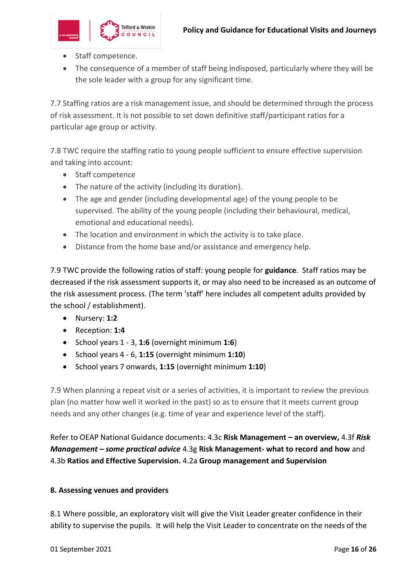

- Staff competence.
- The consequence of a member of staff being indisposed, particularly where they will be the sole leader with a group for any significant time.

7.7 Staffing ratios are a risk management issue, and should be determined through the process of risk assessment. It is not possible to set down definitive staff/participant ratios for a particular age group or activity.

7.8 TWC require the staffing ratio to young people sufficient to ensure effective supervision and taking into account:

- Staff competence
- The nature of the activity (including its duration).
- The age and gender (including developmental age) of the young people to be supervised. The ability of the young people (including their behavioural, medical, emotional and educational needs).
- The location and environment in which the activity is to take place.
- Distance from the home base and/or assistance and emergency help.

7.9 TWC provide the following ratios of staff: young people for **guidance**. Staff ratios may be decreased if the risk assessment supports it, or may also need to be increased as an outcome of the risk assessment process. (The term 'staff' here includes all competent adults provided by the school / establishment).

- Nursery: **1:2**
- Reception: **1:4**
- School years 1 3, **1:6** (overnight minimum **1:6**)
- School years 4 6, **1:15** (overnight minimum **1:10**)
- School years 7 onwards, **1:15** (overnight minimum **1:10**)

7.9 When planning a repeat visit or a series of activities, it is important to review the previous plan (no matter how well it worked in the past) so as to ensure that it meets current group needs and any other changes (e.g. time of year and experience level of the staff).

Refer to OEAP National Guidance documents: 4.3c **Risk Management – an overview,** 4.3f *Risk Management – some practical advice* 4.3g **Risk Management- what to record and how** and 4.3b **Ratios and Effective Supervision.** 4.2a **Group management and Supervision**

#### **8. Assessing venues and providers**

8.1 Where possible, an exploratory visit will give the Visit Leader greater confidence in their ability to supervise the pupils. It will help the Visit Leader to concentrate on the needs of the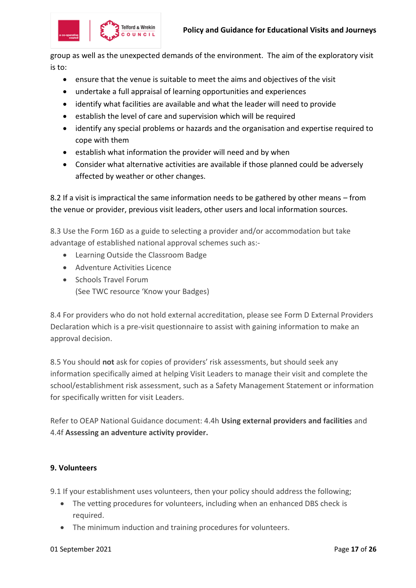

group as well as the unexpected demands of the environment. The aim of the exploratory visit is to:

- ensure that the venue is suitable to meet the aims and objectives of the visit
- undertake a full appraisal of learning opportunities and experiences
- identify what facilities are available and what the leader will need to provide
- establish the level of care and supervision which will be required
- identify any special problems or hazards and the organisation and expertise required to cope with them
- establish what information the provider will need and by when
- Consider what alternative activities are available if those planned could be adversely affected by weather or other changes.

8.2 If a visit is impractical the same information needs to be gathered by other means – from the venue or provider, previous visit leaders, other users and local information sources.

8.3 Use the Form 16D as a guide to selecting a provider and/or accommodation but take advantage of established national approval schemes such as:-

- Learning Outside the Classroom Badge
- Adventure Activities Licence
- Schools Travel Forum (See TWC resource 'Know your Badges)

8.4 For providers who do not hold external accreditation, please see Form D External Providers Declaration which is a pre-visit questionnaire to assist with gaining information to make an approval decision.

8.5 You should **not** ask for copies of providers' risk assessments, but should seek any information specifically aimed at helping Visit Leaders to manage their visit and complete the school/establishment risk assessment, such as a Safety Management Statement or information for specifically written for visit Leaders.

Refer to OEAP National Guidance document: 4.4h **Using external providers and facilities** and 4.4f **Assessing an adventure activity provider.**

#### **9. Volunteers**

9.1 If your establishment uses volunteers, then your policy should address the following;

- The vetting procedures for volunteers, including when an enhanced DBS check is required.
- The minimum induction and training procedures for volunteers.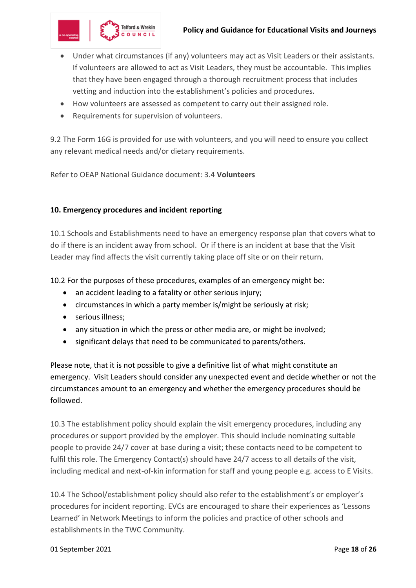

- Under what circumstances (if any) volunteers may act as Visit Leaders or their assistants. If volunteers are allowed to act as Visit Leaders, they must be accountable. This implies that they have been engaged through a thorough recruitment process that includes vetting and induction into the establishment's policies and procedures.
- How volunteers are assessed as competent to carry out their assigned role.
- Requirements for supervision of volunteers.

9.2 The Form 16G is provided for use with volunteers, and you will need to ensure you collect any relevant medical needs and/or dietary requirements.

Refer to OEAP National Guidance document: 3.4 **Volunteers**

#### **10. Emergency procedures and incident reporting**

10.1 Schools and Establishments need to have an emergency response plan that covers what to do if there is an incident away from school. Or if there is an incident at base that the Visit Leader may find affects the visit currently taking place off site or on their return.

10.2 For the purposes of these procedures, examples of an emergency might be:

- an accident leading to a fatality or other serious injury;
- circumstances in which a party member is/might be seriously at risk;
- serious illness;
- any situation in which the press or other media are, or might be involved;
- significant delays that need to be communicated to parents/others.

Please note, that it is not possible to give a definitive list of what might constitute an emergency. Visit Leaders should consider any unexpected event and decide whether or not the circumstances amount to an emergency and whether the emergency procedures should be followed.

10.3 The establishment policy should explain the visit emergency procedures, including any procedures or support provided by the employer. This should include nominating suitable people to provide 24/7 cover at base during a visit; these contacts need to be competent to fulfil this role. The Emergency Contact(s) should have 24/7 access to all details of the visit, including medical and next-of-kin information for staff and young people e.g. access to E Visits.

10.4 The School/establishment policy should also refer to the establishment's or employer's procedures for incident reporting. EVCs are encouraged to share their experiences as 'Lessons Learned' in Network Meetings to inform the policies and practice of other schools and establishments in the TWC Community.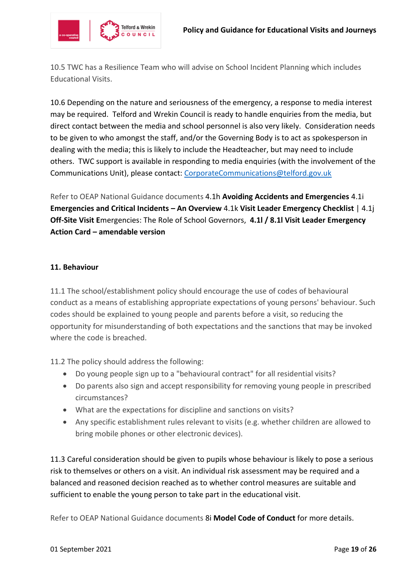

10.5 TWC has a Resilience Team who will advise on School Incident Planning which includes Educational Visits.

10.6 Depending on the nature and seriousness of the emergency, a response to media interest may be required. Telford and Wrekin Council is ready to handle enquiries from the media, but direct contact between the media and school personnel is also very likely. Consideration needs to be given to who amongst the staff, and/or the Governing Body is to act as spokesperson in dealing with the media; this is likely to include the Headteacher, but may need to include others. TWC support is available in responding to media enquiries (with the involvement of the Communications Unit), please contact[: CorporateCommunications@telford.gov.uk](mailto:CorporateCommunications@telford.gov.uk)

Refer to OEAP National Guidance documents 4.1h **[Avoiding Accidents and Emergencies](https://oeapng.info/downloads/download-info/4-1h-avoiding-accidents-and-emergencies/)** [4.1i](https://oeapng.info/downloads/download-info/4-1i-emergencies-and-critical-incidents-an-overview/)  **[Emergencies and Critical Incidents](https://oeapng.info/downloads/download-info/4-1i-emergencies-and-critical-incidents-an-overview/) – An Overview** 4.1k **[Visit Leader Emergency](https://oeapng.info/downloads/download-info/4-1k-visit-leader-emergency-checklist/) Checklist** | [4.1j](https://oeapng.info/downloads/download-info/4-1j-off-site-visit-emergencies-the-role-of-school-governors/)  **Off-Site Visit E**[mergencies: The Role of School Governors,](https://oeapng.info/downloads/download-info/4-1j-off-site-visit-emergencies-the-role-of-school-governors/) **[4.1l / 8.1l Visit Leader Emergency](https://oeapng.info/downloads/download-info/4-1l-8-1l-visit-leader-emergency-action-card-amendable-version/)  Action Card – [amendable version](https://oeapng.info/downloads/download-info/4-1l-8-1l-visit-leader-emergency-action-card-amendable-version/)**

#### **11. Behaviour**

11.1 The school/establishment policy should encourage the use of codes of behavioural conduct as a means of establishing appropriate expectations of young persons' behaviour. Such codes should be explained to young people and parents before a visit, so reducing the opportunity for misunderstanding of both expectations and the sanctions that may be invoked where the code is breached.

11.2 The policy should address the following:

- Do young people sign up to a "behavioural contract" for all residential visits?
- Do parents also sign and accept responsibility for removing young people in prescribed circumstances?
- What are the expectations for discipline and sanctions on visits?
- Any specific establishment rules relevant to visits (e.g. whether children are allowed to bring mobile phones or other electronic devices).

11.3 Careful consideration should be given to pupils whose behaviour is likely to pose a serious risk to themselves or others on a visit. An individual risk assessment may be required and a balanced and reasoned decision reached as to whether control measures are suitable and sufficient to enable the young person to take part in the educational visit.

Refer to OEAP National Guidance documents 8i **Model Code of Conduct** for more details.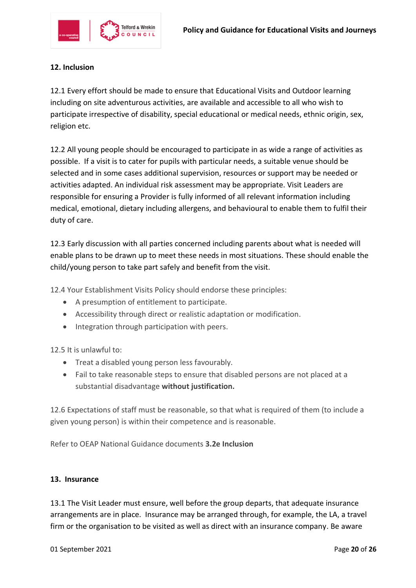

# **12. Inclusion**

12.1 Every effort should be made to ensure that Educational Visits and Outdoor learning including on site adventurous activities, are available and accessible to all who wish to participate irrespective of disability, special educational or medical needs, ethnic origin, sex, religion etc.

12.2 All young people should be encouraged to participate in as wide a range of activities as possible. If a visit is to cater for pupils with particular needs, a suitable venue should be selected and in some cases additional supervision, resources or support may be needed or activities adapted. An individual risk assessment may be appropriate. Visit Leaders are responsible for ensuring a Provider is fully informed of all relevant information including medical, emotional, dietary including allergens, and behavioural to enable them to fulfil their duty of care.

12.3 Early discussion with all parties concerned including parents about what is needed will enable plans to be drawn up to meet these needs in most situations. These should enable the child/young person to take part safely and benefit from the visit.

12.4 Your Establishment Visits Policy should endorse these principles:

- A presumption of entitlement to participate.
- Accessibility through direct or realistic adaptation or modification.
- Integration through participation with peers.

12.5 It is unlawful to:

- Treat a disabled young person less favourably.
- Fail to take reasonable steps to ensure that disabled persons are not placed at a substantial disadvantage **without justification.**

12.6 Expectations of staff must be reasonable, so that what is required of them (to include a given young person) is within their competence and is reasonable.

Refer to OEAP National Guidance documents **3.2e Inclusion**

#### **13. Insurance**

13.1 The Visit Leader must ensure, well before the group departs, that adequate insurance arrangements are in place. Insurance may be arranged through, for example, the LA, a travel firm or the organisation to be visited as well as direct with an insurance company. Be aware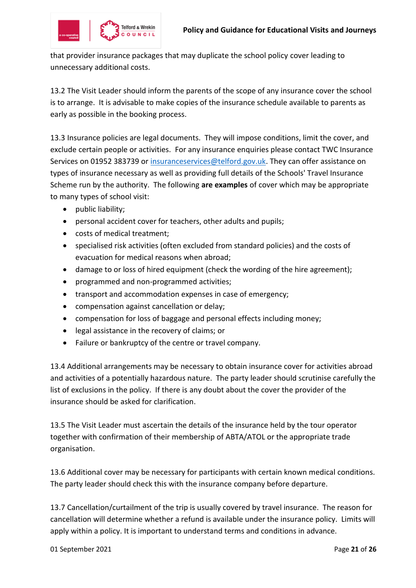

that provider insurance packages that may duplicate the school policy cover leading to unnecessary additional costs.

13.2 The Visit Leader should inform the parents of the scope of any insurance cover the school is to arrange. It is advisable to make copies of the insurance schedule available to parents as early as possible in the booking process.

13.3 Insurance policies are legal documents. They will impose conditions, limit the cover, and exclude certain people or activities. For any insurance enquiries please contact TWC Insurance Services on 01952 383739 or [insuranceservices@telford.gov.uk.](mailto:insuranceservices@telford.gov.uk) They can offer assistance on types of insurance necessary as well as providing full details of the Schools' Travel Insurance Scheme run by the authority. The following **are examples** of cover which may be appropriate to many types of school visit:

- public liability;
- personal accident cover for teachers, other adults and pupils;
- costs of medical treatment;
- specialised risk activities (often excluded from standard policies) and the costs of evacuation for medical reasons when abroad;
- damage to or loss of hired equipment (check the wording of the hire agreement);
- programmed and non-programmed activities;
- transport and accommodation expenses in case of emergency;
- compensation against cancellation or delay;
- compensation for loss of baggage and personal effects including money;
- legal assistance in the recovery of claims; or
- Failure or bankruptcy of the centre or travel company.

13.4 Additional arrangements may be necessary to obtain insurance cover for activities abroad and activities of a potentially hazardous nature. The party leader should scrutinise carefully the list of exclusions in the policy. If there is any doubt about the cover the provider of the insurance should be asked for clarification.

13.5 The Visit Leader must ascertain the details of the insurance held by the tour operator together with confirmation of their membership of ABTA/ATOL or the appropriate trade organisation.

13.6 Additional cover may be necessary for participants with certain known medical conditions. The party leader should check this with the insurance company before departure.

13.7 Cancellation/curtailment of the trip is usually covered by travel insurance. The reason for cancellation will determine whether a refund is available under the insurance policy. Limits will apply within a policy. It is important to understand terms and conditions in advance.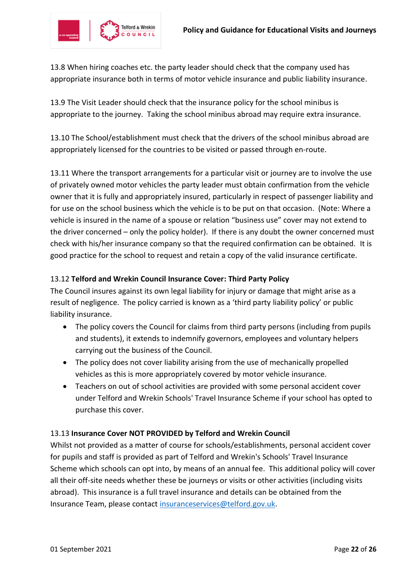

13.8 When hiring coaches etc. the party leader should check that the company used has appropriate insurance both in terms of motor vehicle insurance and public liability insurance.

13.9 The Visit Leader should check that the insurance policy for the school minibus is appropriate to the journey. Taking the school minibus abroad may require extra insurance.

13.10 The School/establishment must check that the drivers of the school minibus abroad are appropriately licensed for the countries to be visited or passed through en-route.

13.11 Where the transport arrangements for a particular visit or journey are to involve the use of privately owned motor vehicles the party leader must obtain confirmation from the vehicle owner that it is fully and appropriately insured, particularly in respect of passenger liability and for use on the school business which the vehicle is to be put on that occasion. (Note: Where a vehicle is insured in the name of a spouse or relation "business use" cover may not extend to the driver concerned – only the policy holder). If there is any doubt the owner concerned must check with his/her insurance company so that the required confirmation can be obtained. It is good practice for the school to request and retain a copy of the valid insurance certificate.

# 13.12 **Telford and Wrekin Council Insurance Cover: Third Party Policy**

The Council insures against its own legal liability for injury or damage that might arise as a result of negligence. The policy carried is known as a 'third party liability policy' or public liability insurance.

- The policy covers the Council for claims from third party persons (including from pupils and students), it extends to indemnify governors, employees and voluntary helpers carrying out the business of the Council.
- The policy does not cover liability arising from the use of mechanically propelled vehicles as this is more appropriately covered by motor vehicle insurance.
- Teachers on out of school activities are provided with some personal accident cover under Telford and Wrekin Schools' Travel Insurance Scheme if your school has opted to purchase this cover.

# 13.13 **Insurance Cover NOT PROVIDED by Telford and Wrekin Council**

Whilst not provided as a matter of course for schools/establishments, personal accident cover for pupils and staff is provided as part of Telford and Wrekin's Schools' Travel Insurance Scheme which schools can opt into, by means of an annual fee. This additional policy will cover all their off-site needs whether these be journeys or visits or other activities (including visits abroad). This insurance is a full travel insurance and details can be obtained from the Insurance Team, please contact [insuranceservices@telford.gov.uk.](mailto:insuranceservices@telford.gov.uk)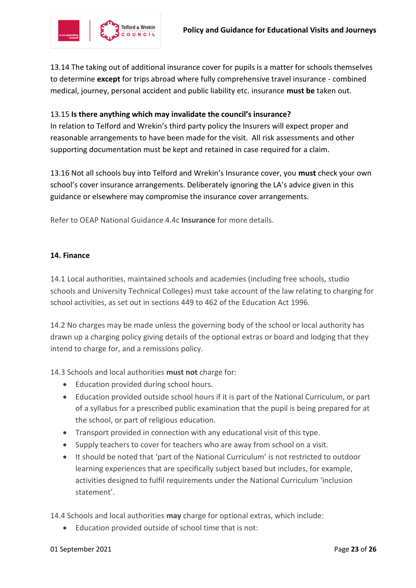

13.14 The taking out of additional insurance cover for pupils is a matter for schools themselves to determine **except** for trips abroad where fully comprehensive travel insurance - combined medical, journey, personal accident and public liability etc. insurance **must be** taken out.

#### 13.15 **Is there anything which may invalidate the council's insurance?**

In relation to Telford and Wrekin's third party policy the Insurers will expect proper and reasonable arrangements to have been made for the visit. All risk assessments and other supporting documentation must be kept and retained in case required for a claim.

13.16 Not all schools buy into Telford and Wrekin's Insurance cover, you **must** check your own school's cover insurance arrangements. Deliberately ignoring the LA's advice given in this guidance or elsewhere may compromise the insurance cover arrangements.

Refer to OEAP National Guidance 4.4c **Insurance** for more details.

#### **14. Finance**

14.1 Local authorities, maintained schools and academies (including free schools, studio schools and University Technical Colleges) must take account of the law relating to charging for school activities, as set out in sections 449 to 462 of the Education Act 1996.

14.2 No charges may be made unless the governing body of the school or local authority has drawn up a charging policy giving details of the optional extras or board and lodging that they intend to charge for, and a remissions policy.

14.3 Schools and local authorities **must not** charge for:

- Education provided during school hours.
- Education provided outside school hours if it is part of the National Curriculum, or part of a syllabus for a prescribed public examination that the pupil is being prepared for at the school, or part of religious education.
- Transport provided in connection with any educational visit of this type.
- Supply teachers to cover for teachers who are away from school on a visit.
- It should be noted that 'part of the National Curriculum' is not restricted to outdoor learning experiences that are specifically subject based but includes, for example, activities designed to fulfil requirements under the National Curriculum 'inclusion statement'.

14.4 Schools and local authorities **may** charge for optional extras, which include:

Education provided outside of school time that is not: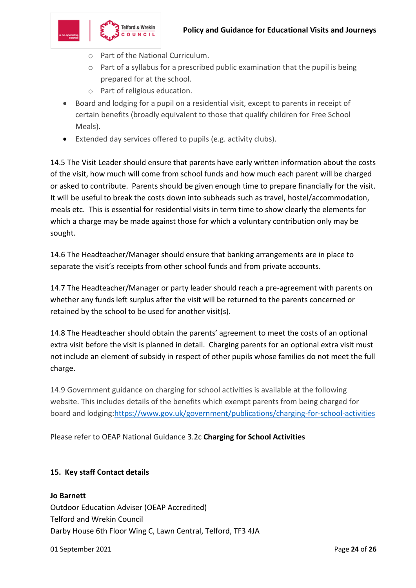

- o Part of the National Curriculum.
- o Part of a syllabus for a prescribed public examination that the pupil is being prepared for at the school.
- o Part of religious education.
- Board and lodging for a pupil on a residential visit, except to parents in receipt of certain benefits (broadly equivalent to those that qualify children for Free School Meals).
- Extended day services offered to pupils (e.g. activity clubs).

14.5 The Visit Leader should ensure that parents have early written information about the costs of the visit, how much will come from school funds and how much each parent will be charged or asked to contribute. Parents should be given enough time to prepare financially for the visit. It will be useful to break the costs down into subheads such as travel, hostel/accommodation, meals etc. This is essential for residential visits in term time to show clearly the elements for which a charge may be made against those for which a voluntary contribution only may be sought.

14.6 The Headteacher/Manager should ensure that banking arrangements are in place to separate the visit's receipts from other school funds and from private accounts.

14.7 The Headteacher/Manager or party leader should reach a pre-agreement with parents on whether any funds left surplus after the visit will be returned to the parents concerned or retained by the school to be used for another visit(s).

14.8 The Headteacher should obtain the parents' agreement to meet the costs of an optional extra visit before the visit is planned in detail. Charging parents for an optional extra visit must not include an element of subsidy in respect of other pupils whose families do not meet the full charge.

14.9 Government guidance on charging for school activities is available at the following website. This includes details of the benefits which exempt parents from being charged for board and lodging[:https://www.gov.uk/government/publications/charging-for-school-activities](https://www.gov.uk/government/publications/charging-for-school-activities)

Please refer to OEAP National Guidance 3.2c **[Charging for School Activities](https://oeapng.info/downloads/download-info/3-2c-charges-for-off-site-activity/)**

# **15. Key staff Contact details**

**Jo Barnett** Outdoor Education Adviser (OEAP Accredited) Telford and Wrekin Council Darby House 6th Floor Wing C, Lawn Central, Telford, TF3 4JA

01 September 2021 Page **24** of **26**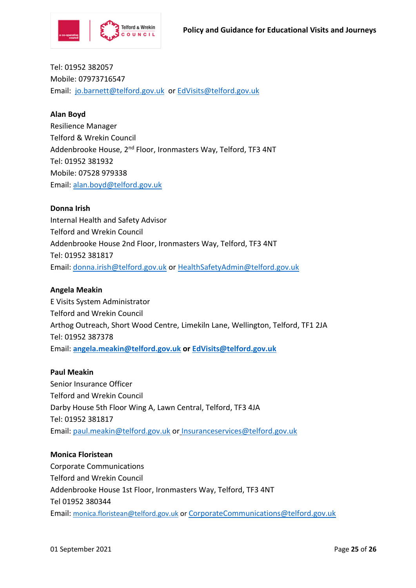

Tel: 01952 382057 Mobile: 07973716547 Email: [jo.barnett@telford.gov.uk](mailto:jo.barnett@telford.gov.uk) or [EdVisits@telford.gov.uk](mailto:EdVisits@telford.gov.uk)

#### **Alan Boyd**

Resilience Manager Telford & Wrekin Council Addenbrooke House, 2<sup>nd</sup> Floor, Ironmasters Way, Telford, TF3 4NT Tel: 01952 381932 Mobile: 07528 979338 Email: [alan.boyd@telford.gov.uk](mailto:alan.boyd@telford.gov.uk)

#### **Donna Irish**

Internal Health and Safety Advisor Telford and Wrekin Council Addenbrooke House 2nd Floor, Ironmasters Way, Telford, TF3 4NT Tel: 01952 381817 Email: [donna.irish@telford.gov.uk](mailto:donna.irish@telford.gov.uk) or [HealthSafetyAdmin@telford.gov.uk](mailto:HealthSafetyAdmin@telford.gov.uk)

#### **Angela Meakin**

E Visits System Administrator Telford and Wrekin Council Arthog Outreach, Short Wood Centre, Limekiln Lane, Wellington, Telford, TF1 2JA Tel: 01952 387378 Email: **[angela.meakin@telford.gov.uk](mailto:angela.meakin@telford.gov.uk) or [EdVisits@telford.gov.uk](mailto:EdVisits@telford.gov.uk)**

# **Paul Meakin**

Senior Insurance Officer Telford and Wrekin Council Darby House 5th Floor Wing A, Lawn Central, Telford, TF3 4JA Tel: 01952 381817 Email: [paul.meakin@telford.gov.uk](mailto:paul.meakin@telford.gov.uk) or Insuranceservices@telford.gov.uk

#### **Monica Floristean**

Corporate Communications Telford and Wrekin Council Addenbrooke House 1st Floor, Ironmasters Way, Telford, TF3 4NT Tel 01952 380344 Email: [monica.floristean@telford.gov.uk](mailto:monica.floristean@telford.gov.uk) or CorporateCommunications@telford.gov.uk